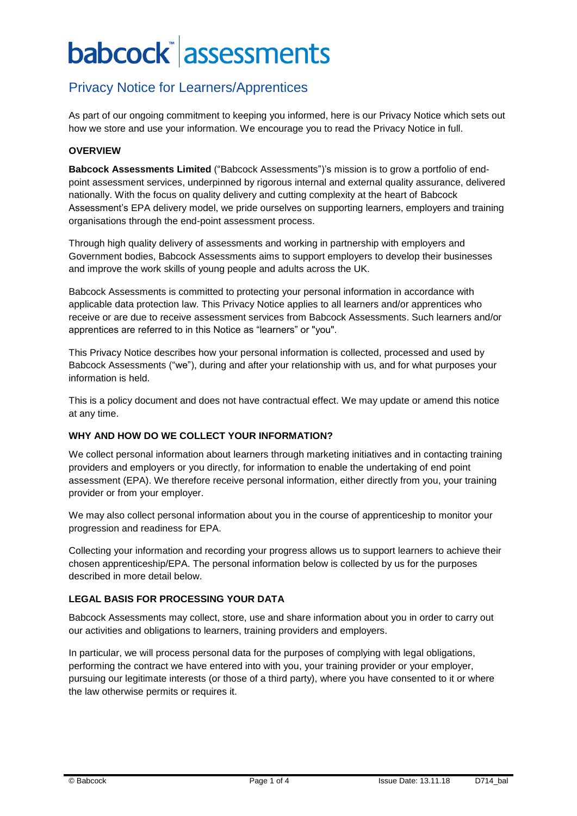## Privacy Notice for Learners/Apprentices

As part of our ongoing commitment to keeping you informed, here is our Privacy Notice which sets out how we store and use your information. We encourage you to read the Privacy Notice in full.

#### **OVERVIEW**

**Babcock Assessments Limited** ("Babcock Assessments")'s mission is to grow a portfolio of endpoint assessment services, underpinned by rigorous internal and external quality assurance, delivered nationally. With the focus on quality delivery and cutting complexity at the heart of Babcock Assessment's EPA delivery model, we pride ourselves on supporting learners, employers and training organisations through the end-point assessment process.

Through high quality delivery of assessments and working in partnership with employers and Government bodies, Babcock Assessments aims to support employers to develop their businesses and improve the work skills of young people and adults across the UK.

Babcock Assessments is committed to protecting your personal information in accordance with applicable data protection law. This Privacy Notice applies to all learners and/or apprentices who receive or are due to receive assessment services from Babcock Assessments. Such learners and/or apprentices are referred to in this Notice as "learners" or "you".

This Privacy Notice describes how your personal information is collected, processed and used by Babcock Assessments ("we"), during and after your relationship with us, and for what purposes your information is held.

This is a policy document and does not have contractual effect. We may update or amend this notice at any time.

#### **WHY AND HOW DO WE COLLECT YOUR INFORMATION?**

We collect personal information about learners through marketing initiatives and in contacting training providers and employers or you directly, for information to enable the undertaking of end point assessment (EPA). We therefore receive personal information, either directly from you, your training provider or from your employer.

We may also collect personal information about you in the course of apprenticeship to monitor your progression and readiness for EPA.

Collecting your information and recording your progress allows us to support learners to achieve their chosen apprenticeship/EPA. The personal information below is collected by us for the purposes described in more detail below.

## **LEGAL BASIS FOR PROCESSING YOUR DATA**

Babcock Assessments may collect, store, use and share information about you in order to carry out our activities and obligations to learners, training providers and employers.

In particular, we will process personal data for the purposes of complying with legal obligations, performing the contract we have entered into with you, your training provider or your employer, pursuing our legitimate interests (or those of a third party), where you have consented to it or where the law otherwise permits or requires it.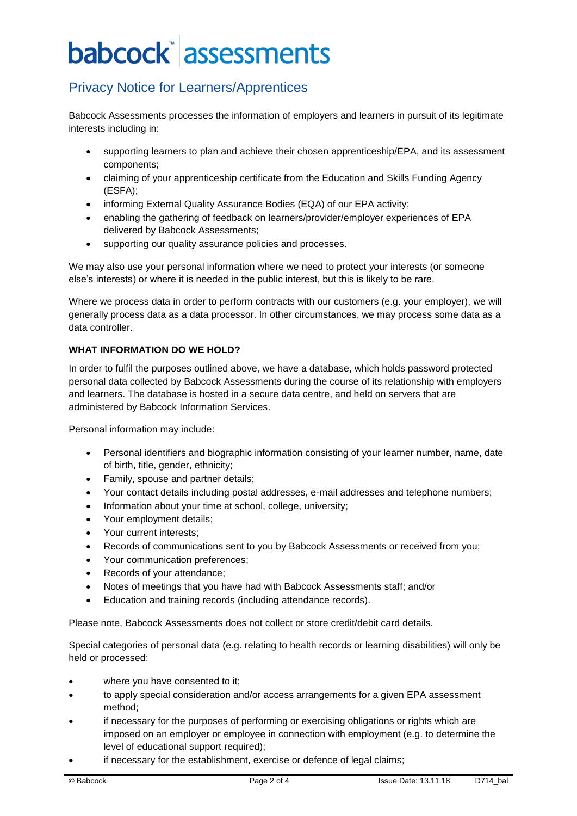## Privacy Notice for Learners/Apprentices

Babcock Assessments processes the information of employers and learners in pursuit of its legitimate interests including in:

- supporting learners to plan and achieve their chosen apprenticeship/EPA, and its assessment components;
- claiming of your apprenticeship certificate from the Education and Skills Funding Agency (ESFA);
- informing External Quality Assurance Bodies (EQA) of our EPA activity;
- enabling the gathering of feedback on learners/provider/employer experiences of EPA delivered by Babcock Assessments;
- supporting our quality assurance policies and processes.

We may also use your personal information where we need to protect your interests (or someone else's interests) or where it is needed in the public interest, but this is likely to be rare.

Where we process data in order to perform contracts with our customers (e.g. your employer), we will generally process data as a data processor. In other circumstances, we may process some data as a data controller.

## **WHAT INFORMATION DO WE HOLD?**

In order to fulfil the purposes outlined above, we have a database, which holds password protected personal data collected by Babcock Assessments during the course of its relationship with employers and learners. The database is hosted in a secure data centre, and held on servers that are administered by Babcock Information Services.

Personal information may include:

- Personal identifiers and biographic information consisting of your learner number, name, date of birth, title, gender, ethnicity;
- Family, spouse and partner details;
- Your contact details including postal addresses, e-mail addresses and telephone numbers;
- Information about your time at school, college, university;
- Your employment details:
- Your current interests;
- Records of communications sent to you by Babcock Assessments or received from you;
- Your communication preferences;
- Records of your attendance;
- Notes of meetings that you have had with Babcock Assessments staff; and/or
- Education and training records (including attendance records).

Please note, Babcock Assessments does not collect or store credit/debit card details.

Special categories of personal data (e.g. relating to health records or learning disabilities) will only be held or processed:

- where you have consented to it;
- to apply special consideration and/or access arrangements for a given EPA assessment method;
- if necessary for the purposes of performing or exercising obligations or rights which are imposed on an employer or employee in connection with employment (e.g. to determine the level of educational support required);
- if necessary for the establishment, exercise or defence of legal claims;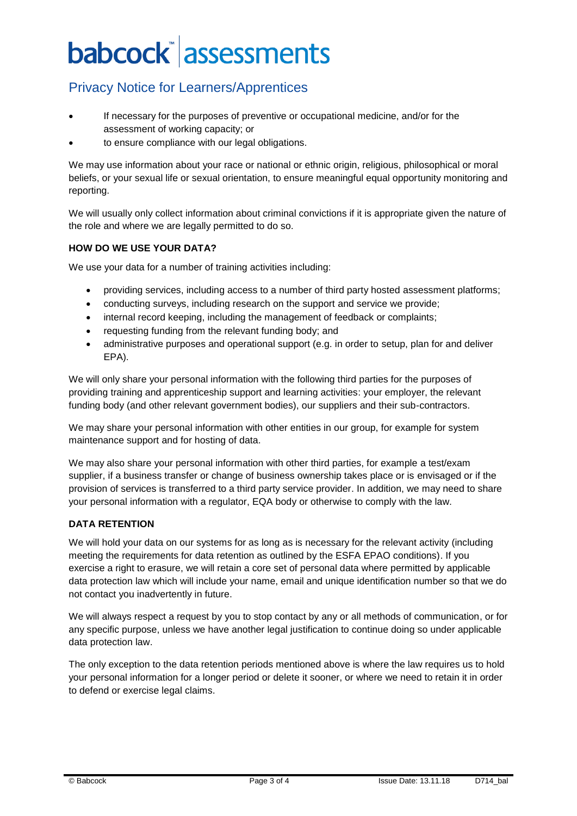## Privacy Notice for Learners/Apprentices

- If necessary for the purposes of preventive or occupational medicine, and/or for the assessment of working capacity; or
- to ensure compliance with our legal obligations.

We may use information about your race or national or ethnic origin, religious, philosophical or moral beliefs, or your sexual life or sexual orientation, to ensure meaningful equal opportunity monitoring and reporting.

We will usually only collect information about criminal convictions if it is appropriate given the nature of the role and where we are legally permitted to do so.

## **HOW DO WE USE YOUR DATA?**

We use your data for a number of training activities including:

- providing services, including access to a number of third party hosted assessment platforms;
- conducting surveys, including research on the support and service we provide;
- internal record keeping, including the management of feedback or complaints;
- requesting funding from the relevant funding body; and
- administrative purposes and operational support (e.g. in order to setup, plan for and deliver EPA).

We will only share your personal information with the following third parties for the purposes of providing training and apprenticeship support and learning activities: your employer, the relevant funding body (and other relevant government bodies), our suppliers and their sub-contractors.

We may share your personal information with other entities in our group, for example for system maintenance support and for hosting of data.

We may also share your personal information with other third parties, for example a test/exam supplier, if a business transfer or change of business ownership takes place or is envisaged or if the provision of services is transferred to a third party service provider. In addition, we may need to share your personal information with a regulator, EQA body or otherwise to comply with the law.

#### **DATA RETENTION**

We will hold your data on our systems for as long as is necessary for the relevant activity (including meeting the requirements for data retention as outlined by the ESFA EPAO conditions). If you exercise a right to erasure, we will retain a core set of personal data where permitted by applicable data protection law which will include your name, email and unique identification number so that we do not contact you inadvertently in future.

We will always respect a request by you to stop contact by any or all methods of communication, or for any specific purpose, unless we have another legal justification to continue doing so under applicable data protection law.

The only exception to the data retention periods mentioned above is where the law requires us to hold your personal information for a longer period or delete it sooner, or where we need to retain it in order to defend or exercise legal claims.